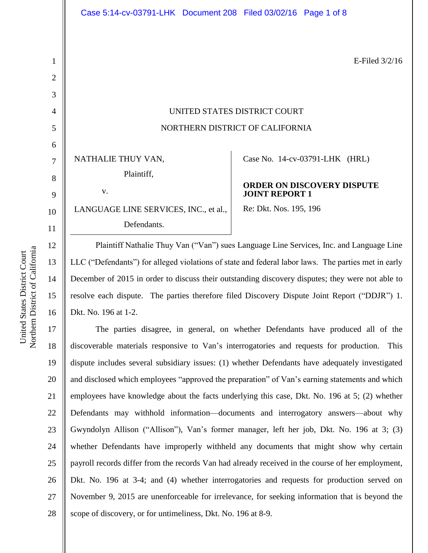E-Filed 3/2/16

# UNITED STATES DISTRICT COURT NORTHERN DISTRICT OF CALIFORNIA

NATHALIE THUY VAN, Plaintiff, v.

LANGUAGE LINE SERVICES, INC., et al., Defendants.

Case No. [14-cv-03791-LHK](https://ecf.cand.uscourts.gov/cgi-bin/DktRpt.pl?280140) (HRL)

## **ORDER ON DISCOVERY DISPUTE JOINT REPORT 1**

Re: Dkt. Nos. 195, 196

Plaintiff Nathalie Thuy Van ("Van") sues Language Line Services, Inc. and Language Line LLC ("Defendants") for alleged violations of state and federal labor laws. The parties met in early December of 2015 in order to discuss their outstanding discovery disputes; they were not able to resolve each dispute. The parties therefore filed Discovery Dispute Joint Report ("DDJR") 1. Dkt. No. 196 at 1-2.

17 18 19 20 21 22 23 24 25 26 27 28 The parties disagree, in general, on whether Defendants have produced all of the discoverable materials responsive to Van's interrogatories and requests for production. This dispute includes several subsidiary issues: (1) whether Defendants have adequately investigated and disclosed which employees "approved the preparation" of Van's earning statements and which employees have knowledge about the facts underlying this case, Dkt. No. 196 at 5; (2) whether Defendants may withhold information—documents and interrogatory answers—about why Gwyndolyn Allison ("Allison"), Van's former manager, left her job, Dkt. No. 196 at 3; (3) whether Defendants have improperly withheld any documents that might show why certain payroll records differ from the records Van had already received in the course of her employment, Dkt. No. 196 at 3-4; and (4) whether interrogatories and requests for production served on November 9, 2015 are unenforceable for irrelevance, for seeking information that is beyond the scope of discovery, or for untimeliness, Dkt. No. 196 at 8-9.

1

2

3

4

5

6

7

8

9

10

11

12

13

14

15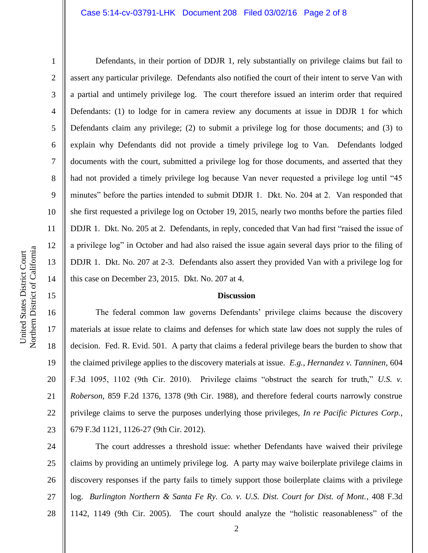#### Case 5:14-cv-03791-LHK Document 208 Filed 03/02/16 Page 2 of 8

1

2

3

4

5

6

7

8

9

10

11

12

13

14

15

Defendants, in their portion of DDJR 1, rely substantially on privilege claims but fail to assert any particular privilege. Defendants also notified the court of their intent to serve Van with a partial and untimely privilege log. The court therefore issued an interim order that required Defendants: (1) to lodge for in camera review any documents at issue in DDJR 1 for which Defendants claim any privilege; (2) to submit a privilege log for those documents; and (3) to explain why Defendants did not provide a timely privilege log to Van. Defendants lodged documents with the court, submitted a privilege log for those documents, and asserted that they had not provided a timely privilege log because Van never requested a privilege log until "45 minutes" before the parties intended to submit DDJR 1. Dkt. No. 204 at 2. Van responded that she first requested a privilege log on October 19, 2015, nearly two months before the parties filed DDJR 1. Dkt. No. 205 at 2. Defendants, in reply, conceded that Van had first "raised the issue of a privilege log" in October and had also raised the issue again several days prior to the filing of DDJR 1. Dkt. No. 207 at 2-3. Defendants also assert they provided Van with a privilege log for this case on December 23, 2015. Dkt. No. 207 at 4.

## **Discussion**

16 17 18 19 20 21 22 23 The federal common law governs Defendants' privilege claims because the discovery materials at issue relate to claims and defenses for which state law does not supply the rules of decision. Fed. R. Evid. 501. A party that claims a federal privilege bears the burden to show that the claimed privilege applies to the discovery materials at issue. *E.g.*, *Hernandez v. Tanninen*, 604 F.3d 1095, 1102 (9th Cir. 2010). Privilege claims "obstruct the search for truth," *U.S. v. Roberson*, 859 F.2d 1376, 1378 (9th Cir. 1988), and therefore federal courts narrowly construe privilege claims to serve the purposes underlying those privileges, *In re Pacific Pictures Corp.*, 679 F.3d 1121, 1126-27 (9th Cir. 2012).

24 25 26 27 28 The court addresses a threshold issue: whether Defendants have waived their privilege claims by providing an untimely privilege log. A party may waive boilerplate privilege claims in discovery responses if the party fails to timely support those boilerplate claims with a privilege log. *Burlington Northern & Santa Fe Ry. Co. v. U.S. Dist. Court for Dist. of Mont.*, 408 F.3d 1142, 1149 (9th Cir. 2005). The court should analyze the "holistic reasonableness" of the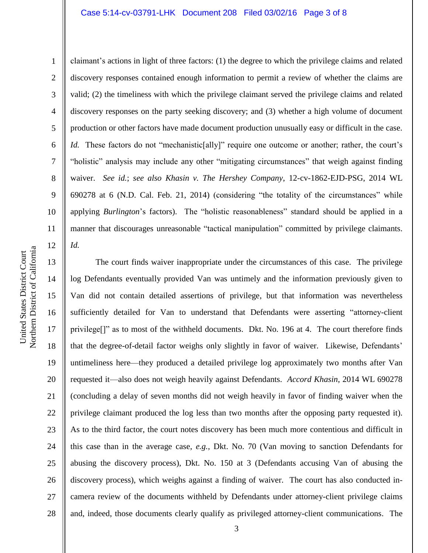#### Case 5:14-cv-03791-LHK Document 208 Filed 03/02/16 Page 3 of 8

Northern District of California Northern District of California United States District Court United States District Court

1

2

3

4

5

7

8

9

11

12

6 10 claimant's actions in light of three factors: (1) the degree to which the privilege claims and related discovery responses contained enough information to permit a review of whether the claims are valid; (2) the timeliness with which the privilege claimant served the privilege claims and related discovery responses on the party seeking discovery; and (3) whether a high volume of document production or other factors have made document production unusually easy or difficult in the case. *Id.* These factors do not "mechanistic[ally]" require one outcome or another; rather, the court's "holistic" analysis may include any other "mitigating circumstances" that weigh against finding waiver. *See id.*; *see also Khasin v. The Hershey Company*, 12-cv-1862-EJD-PSG, 2014 WL 690278 at 6 (N.D. Cal. Feb. 21, 2014) (considering "the totality of the circumstances" while applying *Burlington*'s factors). The "holistic reasonableness" standard should be applied in a manner that discourages unreasonable "tactical manipulation" committed by privilege claimants. *Id.*

13 14 15 16 17 18 19 20 21 22 23 24 25 26 27 28 The court finds waiver inappropriate under the circumstances of this case. The privilege log Defendants eventually provided Van was untimely and the information previously given to Van did not contain detailed assertions of privilege, but that information was nevertheless sufficiently detailed for Van to understand that Defendants were asserting "attorney-client privilege<sup>[]"</sup> as to most of the withheld documents. Dkt. No. 196 at 4. The court therefore finds that the degree-of-detail factor weighs only slightly in favor of waiver. Likewise, Defendants' untimeliness here—they produced a detailed privilege log approximately two months after Van requested it—also does not weigh heavily against Defendants. *Accord Khasin*, 2014 WL 690278 (concluding a delay of seven months did not weigh heavily in favor of finding waiver when the privilege claimant produced the log less than two months after the opposing party requested it). As to the third factor, the court notes discovery has been much more contentious and difficult in this case than in the average case, *e.g.*, Dkt. No. 70 (Van moving to sanction Defendants for abusing the discovery process), Dkt. No. 150 at 3 (Defendants accusing Van of abusing the discovery process), which weighs against a finding of waiver. The court has also conducted incamera review of the documents withheld by Defendants under attorney-client privilege claims and, indeed, those documents clearly qualify as privileged attorney-client communications. The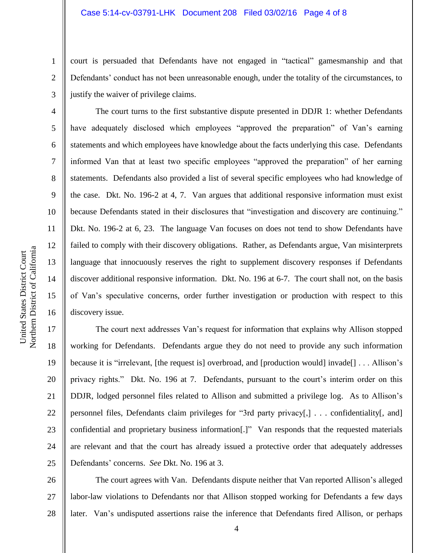#### Case 5:14-cv-03791-LHK Document 208 Filed 03/02/16 Page 4 of 8

court is persuaded that Defendants have not engaged in "tactical" gamesmanship and that Defendants' conduct has not been unreasonable enough, under the totality of the circumstances, to justify the waiver of privilege claims.

The court turns to the first substantive dispute presented in DDJR 1: whether Defendants have adequately disclosed which employees "approved the preparation" of Van's earning statements and which employees have knowledge about the facts underlying this case. Defendants informed Van that at least two specific employees "approved the preparation" of her earning statements. Defendants also provided a list of several specific employees who had knowledge of the case. Dkt. No. 196-2 at 4, 7. Van argues that additional responsive information must exist because Defendants stated in their disclosures that "investigation and discovery are continuing." Dkt. No. 196-2 at 6, 23. The language Van focuses on does not tend to show Defendants have failed to comply with their discovery obligations. Rather, as Defendants argue, Van misinterprets language that innocuously reserves the right to supplement discovery responses if Defendants discover additional responsive information. Dkt. No. 196 at 6-7. The court shall not, on the basis of Van's speculative concerns, order further investigation or production with respect to this discovery issue.

17 18 19 20 21 22 23 24 25 The court next addresses Van's request for information that explains why Allison stopped working for Defendants. Defendants argue they do not need to provide any such information because it is "irrelevant, [the request is] overbroad, and [production would] invade[] . . . Allison's privacy rights." Dkt. No. 196 at 7. Defendants, pursuant to the court's interim order on this DDJR, lodged personnel files related to Allison and submitted a privilege log. As to Allison's personnel files, Defendants claim privileges for "3rd party privacy[,] . . . confidentiality[, and] confidential and proprietary business information[.]" Van responds that the requested materials are relevant and that the court has already issued a protective order that adequately addresses Defendants' concerns. *See* Dkt. No. 196 at 3.

26 27 28 The court agrees with Van. Defendants dispute neither that Van reported Allison's alleged labor-law violations to Defendants nor that Allison stopped working for Defendants a few days later. Van's undisputed assertions raise the inference that Defendants fired Allison, or perhaps

1

2

3

4

5

6

7

8

9

10

11

12

13

14

15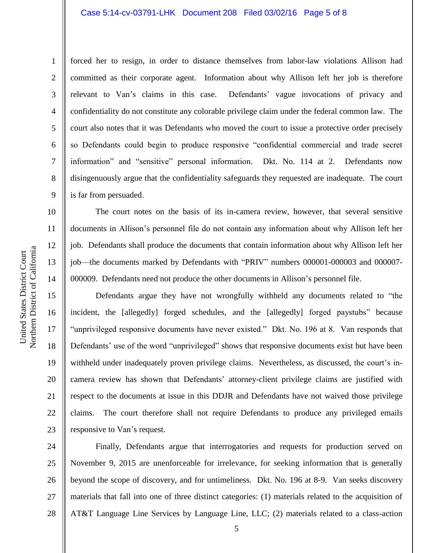#### Case 5:14-cv-03791-LHK Document 208 Filed 03/02/16 Page 5 of 8

1

2

3

4

5

6

7

8

9

forced her to resign, in order to distance themselves from labor-law violations Allison had committed as their corporate agent. Information about why Allison left her job is therefore relevant to Van's claims in this case. Defendants' vague invocations of privacy and confidentiality do not constitute any colorable privilege claim under the federal common law. The court also notes that it was Defendants who moved the court to issue a protective order precisely so Defendants could begin to produce responsive "confidential commercial and trade secret information" and "sensitive" personal information. Dkt. No. 114 at 2. Defendants now disingenuously argue that the confidentiality safeguards they requested are inadequate. The court is far from persuaded.

The court notes on the basis of its in-camera review, however, that several sensitive documents in Allison's personnel file do not contain any information about why Allison left her job. Defendants shall produce the documents that contain information about why Allison left her job—the documents marked by Defendants with "PRIV" numbers 000001-000003 and 000007- 000009. Defendants need not produce the other documents in Allison's personnel file.

Defendants argue they have not wrongfully withheld any documents related to "the incident, the [allegedly] forged schedules, and the [allegedly] forged paystubs" because "unprivileged responsive documents have never existed." Dkt. No. 196 at 8. Van responds that Defendants' use of the word "unprivileged" shows that responsive documents exist but have been withheld under inadequately proven privilege claims. Nevertheless, as discussed, the court's incamera review has shown that Defendants' attorney-client privilege claims are justified with respect to the documents at issue in this DDJR and Defendants have not waived those privilege claims. The court therefore shall not require Defendants to produce any privileged emails responsive to Van's request.

24 25 26 27 28 Finally, Defendants argue that interrogatories and requests for production served on November 9, 2015 are unenforceable for irrelevance, for seeking information that is generally beyond the scope of discovery, and for untimeliness. Dkt. No. 196 at 8-9. Van seeks discovery materials that fall into one of three distinct categories: (1) materials related to the acquisition of AT&T Language Line Services by Language Line, LLC; (2) materials related to a class-action

16

17

18

19

20

21

22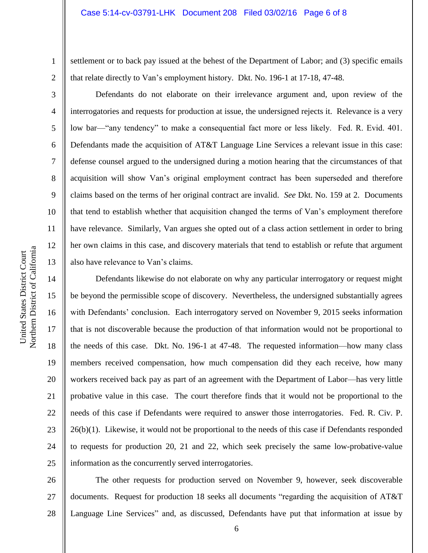#### Case 5:14-cv-03791-LHK Document 208 Filed 03/02/16 Page 6 of 8

settlement or to back pay issued at the behest of the Department of Labor; and (3) specific emails that relate directly to Van's employment history. Dkt. No. 196-1 at 17-18, 47-48.

Defendants do not elaborate on their irrelevance argument and, upon review of the interrogatories and requests for production at issue, the undersigned rejects it. Relevance is a very low bar—"any tendency" to make a consequential fact more or less likely. Fed. R. Evid. 401. Defendants made the acquisition of AT&T Language Line Services a relevant issue in this case: defense counsel argued to the undersigned during a motion hearing that the circumstances of that acquisition will show Van's original employment contract has been superseded and therefore claims based on the terms of her original contract are invalid. *See* Dkt. No. 159 at 2. Documents that tend to establish whether that acquisition changed the terms of Van's employment therefore have relevance. Similarly, Van argues she opted out of a class action settlement in order to bring her own claims in this case, and discovery materials that tend to establish or refute that argument also have relevance to Van's claims.

Defendants likewise do not elaborate on why any particular interrogatory or request might be beyond the permissible scope of discovery. Nevertheless, the undersigned substantially agrees with Defendants' conclusion. Each interrogatory served on November 9, 2015 seeks information that is not discoverable because the production of that information would not be proportional to the needs of this case. Dkt. No. 196-1 at 47-48. The requested information—how many class members received compensation, how much compensation did they each receive, how many workers received back pay as part of an agreement with the Department of Labor—has very little probative value in this case. The court therefore finds that it would not be proportional to the needs of this case if Defendants were required to answer those interrogatories. Fed. R. Civ. P. 26(b)(1). Likewise, it would not be proportional to the needs of this case if Defendants responded to requests for production 20, 21 and 22, which seek precisely the same low-probative-value information as the concurrently served interrogatories.

26 27 28 The other requests for production served on November 9, however, seek discoverable documents. Request for production 18 seeks all documents "regarding the acquisition of AT&T Language Line Services" and, as discussed, Defendants have put that information at issue by

1

2

3

4

5

6

7

8

9

10

11

12

13

14

15

16

17

18

19

20

21

22

23

24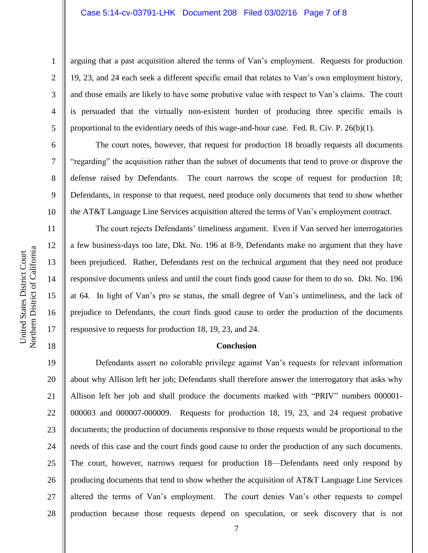#### Case 5:14-cv-03791-LHK Document 208 Filed 03/02/16 Page 7 of 8

1

2

3

4

5

6

7

8

9

10

11

12

13

14

15

16

17

18

arguing that a past acquisition altered the terms of Van's employment. Requests for production 19, 23, and 24 each seek a different specific email that relates to Van's own employment history, and those emails are likely to have some probative value with respect to Van's claims. The court is persuaded that the virtually non-existent burden of producing three specific emails is proportional to the evidentiary needs of this wage-and-hour case. Fed. R. Civ. P. 26(b)(1).

The court notes, however, that request for production 18 broadly requests all documents "regarding" the acquisition rather than the subset of documents that tend to prove or disprove the defense raised by Defendants. The court narrows the scope of request for production 18; Defendants, in response to that request, need produce only documents that tend to show whether the AT&T Language Line Services acquisition altered the terms of Van's employment contract.

The court rejects Defendants' timeliness argument. Even if Van served her interrogatories a few business-days too late, Dkt. No. 196 at 8-9, Defendants make no argument that they have been prejudiced. Rather, Defendants rest on the technical argument that they need not produce responsive documents unless and until the court finds good cause for them to do so. Dkt. No. 196 at 64. In light of Van's pro se status, the small degree of Van's untimeliness, and the lack of prejudice to Defendants, the court finds good cause to order the production of the documents responsive to requests for production 18, 19, 23, and 24.

# **Conclusion**

19 20 21 22 23 24 25 26 27 28 Defendants assert no colorable privilege against Van's requests for relevant information about why Allison left her job; Defendants shall therefore answer the interrogatory that asks why Allison left her job and shall produce the documents marked with "PRIV" numbers 000001- 000003 and 000007-000009. Requests for production 18, 19, 23, and 24 request probative documents; the production of documents responsive to those requests would be proportional to the needs of this case and the court finds good cause to order the production of any such documents. The court, however, narrows request for production 18—Defendants need only respond by producing documents that tend to show whether the acquisition of AT&T Language Line Services altered the terms of Van's employment. The court denies Van's other requests to compel production because those requests depend on speculation, or seek discovery that is not